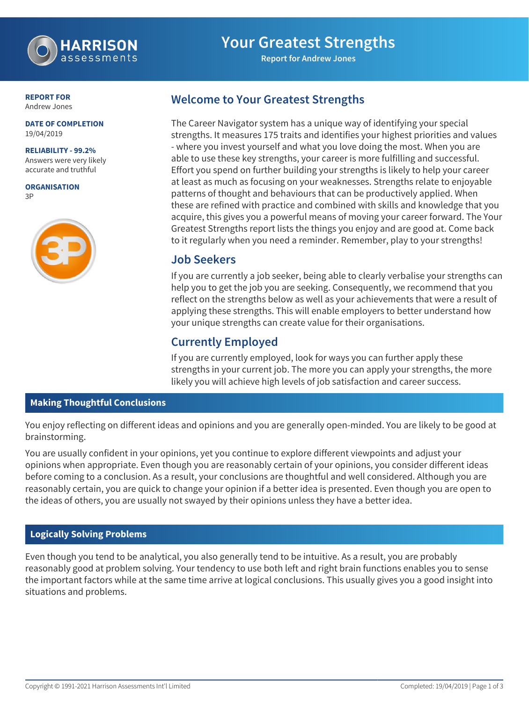

# **Your Greatest Strengths**

**Report for Andrew Jones**

**REPORT FOR** Andrew Jones

#### **DATE OF COMPLETION** 19/04/2019

**RELIABILITY - 99.2%**

Answers were very likely accurate and truthful

**ORGANISATION** 3P



## **Welcome to Your Greatest Strengths**

The Career Navigator system has a unique way of identifying your special strengths. It measures 175 traits and identifies your highest priorities and values - where you invest yourself and what you love doing the most. When you are able to use these key strengths, your career is more fulfilling and successful. Effort you spend on further building your strengths is likely to help your career at least as much as focusing on your weaknesses. Strengths relate to enjoyable patterns of thought and behaviours that can be productively applied. When these are refined with practice and combined with skills and knowledge that you acquire, this gives you a powerful means of moving your career forward. The Your Greatest Strengths report lists the things you enjoy and are good at. Come back to it regularly when you need a reminder. Remember, play to your strengths!

### **Job Seekers**

If you are currently a job seeker, being able to clearly verbalise your strengths can help you to get the job you are seeking. Consequently, we recommend that you reflect on the strengths below as well as your achievements that were a result of applying these strengths. This will enable employers to better understand how your unique strengths can create value for their organisations.

# **Currently Employed**

If you are currently employed, look for ways you can further apply these strengths in your current job. The more you can apply your strengths, the more likely you will achieve high levels of job satisfaction and career success.

#### **Making Thoughtful Conclusions**

You enjoy reflecting on different ideas and opinions and you are generally open-minded. You are likely to be good at brainstorming.

You are usually confident in your opinions, yet you continue to explore different viewpoints and adjust your opinions when appropriate. Even though you are reasonably certain of your opinions, you consider different ideas before coming to a conclusion. As a result, your conclusions are thoughtful and well considered. Although you are reasonably certain, you are quick to change your opinion if a better idea is presented. Even though you are open to the ideas of others, you are usually not swayed by their opinions unless they have a better idea.

#### **Logically Solving Problems**

Even though you tend to be analytical, you also generally tend to be intuitive. As a result, you are probably reasonably good at problem solving. Your tendency to use both left and right brain functions enables you to sense the important factors while at the same time arrive at logical conclusions. This usually gives you a good insight into situations and problems.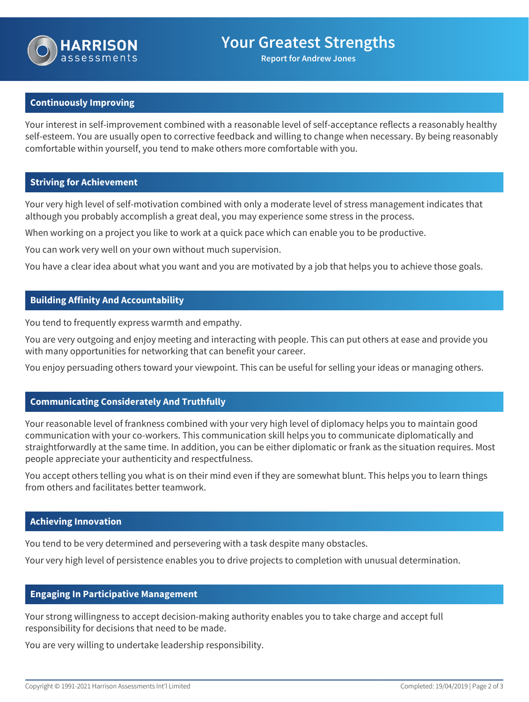

**Report for Andrew Jones**

#### **Continuously Improving**

Your interest in self-improvement combined with a reasonable level of self-acceptance reflects a reasonably healthy self-esteem. You are usually open to corrective feedback and willing to change when necessary. By being reasonably comfortable within yourself, you tend to make others more comfortable with you.

#### **Striving for Achievement**

Your very high level of self-motivation combined with only a moderate level of stress management indicates that although you probably accomplish a great deal, you may experience some stress in the process.

When working on a project you like to work at a quick pace which can enable you to be productive.

You can work very well on your own without much supervision.

You have a clear idea about what you want and you are motivated by a job that helps you to achieve those goals.

#### **Building Affinity And Accountability**

You tend to frequently express warmth and empathy.

You are very outgoing and enjoy meeting and interacting with people. This can put others at ease and provide you with many opportunities for networking that can benefit your career.

You enjoy persuading others toward your viewpoint. This can be useful for selling your ideas or managing others.

#### **Communicating Considerately And Truthfully**

Your reasonable level of frankness combined with your very high level of diplomacy helps you to maintain good communication with your co-workers. This communication skill helps you to communicate diplomatically and straightforwardly at the same time. In addition, you can be either diplomatic or frank as the situation requires. Most people appreciate your authenticity and respectfulness.

You accept others telling you what is on their mind even if they are somewhat blunt. This helps you to learn things from others and facilitates better teamwork.

#### **Achieving Innovation**

You tend to be very determined and persevering with a task despite many obstacles.

Your very high level of persistence enables you to drive projects to completion with unusual determination.

#### **Engaging In Participative Management**

Your strong willingness to accept decision-making authority enables you to take charge and accept full responsibility for decisions that need to be made.

You are very willing to undertake leadership responsibility.